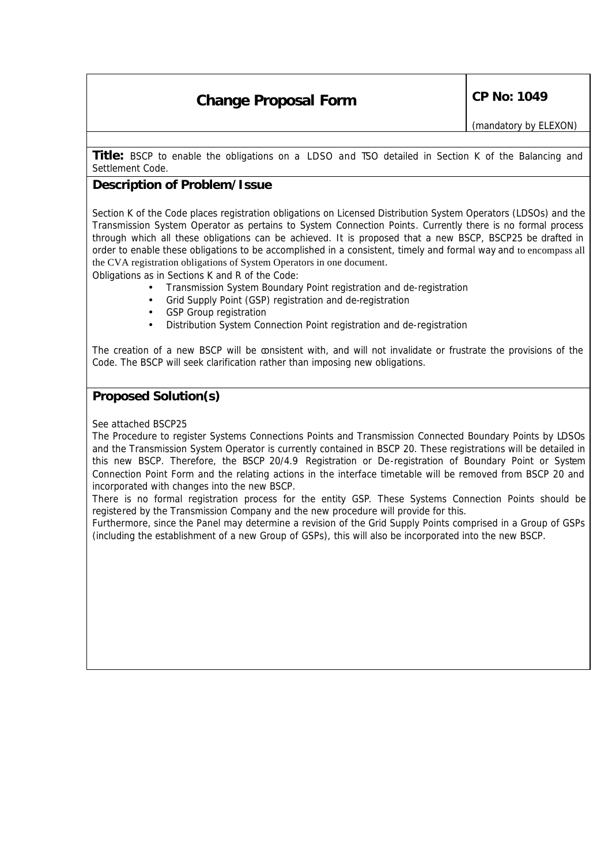# **Change Proposal Form** CP No: 1049

**Title:** BSCP to enable the obligations on a LDSO and TSO detailed in Section K of the Balancing and Settlement Code.

## **Description of Problem/Issue**

Section K of the Code places registration obligations on Licensed Distribution System Operators (LDSOs) and the Transmission System Operator as pertains to System Connection Points. Currently there is no formal process through which all these obligations can be achieved. It is proposed that a new BSCP, BSCP25 be drafted in order to enable these obligations to be accomplished in a consistent, timely and formal way and to encompass all the CVA registration obligations of System Operators in one document.

Obligations as in Sections K and R of the Code:

- Transmission System Boundary Point registration and de-registration
- Grid Supply Point (GSP) registration and de-registration
- GSP Group registration
- Distribution System Connection Point registration and de-registration

The creation of a new BSCP will be consistent with, and will not invalidate or frustrate the provisions of the Code. The BSCP will seek clarification rather than imposing new obligations.

# **Proposed Solution(s)**

#### See attached BSCP25

The Procedure to register Systems Connections Points and Transmission Connected Boundary Points by LDSOs and the Transmission System Operator is currently contained in BSCP 20. These registrations will be detailed in this new BSCP. Therefore, the BSCP 20/4.9 Registration or De-registration of Boundary Point or System Connection Point Form and the relating actions in the interface timetable will be removed from BSCP 20 and incorporated with changes into the new BSCP.

There is no formal registration process for the entity GSP. These Systems Connection Points should be registered by the Transmission Company and the new procedure will provide for this.

Furthermore, since the Panel may determine a revision of the Grid Supply Points comprised in a Group of GSPs (including the establishment of a new Group of GSPs), this will also be incorporated into the new BSCP.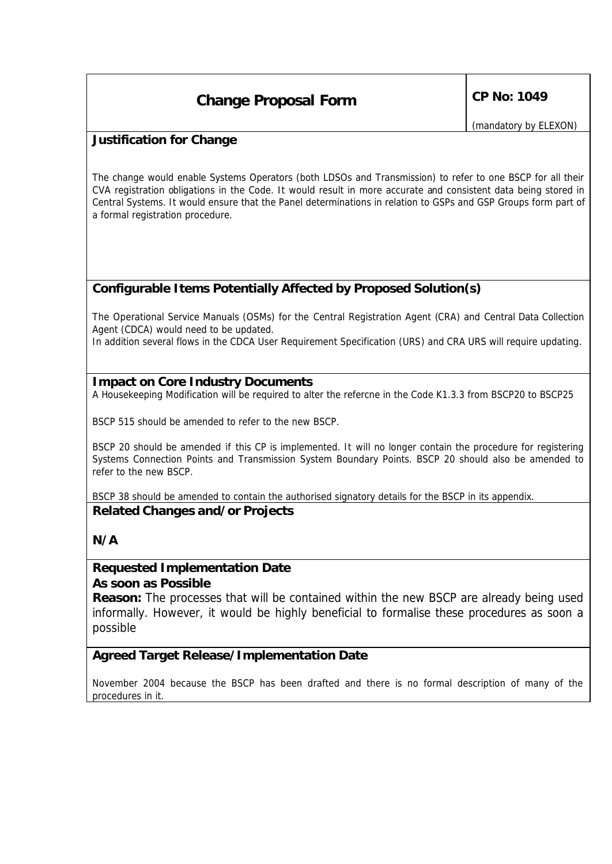# **Change Proposal Form** CP No: 1049

*(mandatory by ELEXON)*

## **Justification for Change**

The change would enable Systems Operators (both LDSOs and Transmission) to refer to one BSCP for all their CVA registration obligations in the Code. It would result in more accurate and consistent data being stored in Central Systems. It would ensure that the Panel determinations in relation to GSPs and GSP Groups form part of a formal registration procedure.

# **Configurable Items Potentially Affected by Proposed Solution(s)**

The Operational Service Manuals (OSMs) for the Central Registration Agent (CRA) and Central Data Collection Agent (CDCA) would need to be updated.

In addition several flows in the CDCA User Requirement Specification (URS) and CRA URS will require updating.

### **Impact on Core Industry Documents**

A Housekeeping Modification will be required to alter the refercne in the Code K1.3.3 from BSCP20 to BSCP25

BSCP 515 should be amended to refer to the new BSCP.

BSCP 20 should be amended if this CP is implemented. It will no longer contain the procedure for registering Systems Connection Points and Transmission System Boundary Points. BSCP 20 should also be amended to refer to the new BSCP.

BSCP 38 should be amended to contain the authorised signatory details for the BSCP in its appendix. **Related Changes and/or Projects** 

# **N/A**

### **Requested Implementation Date** *As soon as Possible*

**Reason:** The processes that will be contained within the new BSCP are already being used informally. However, it would be highly beneficial to formalise these procedures as soon a possible

# **Agreed Target Release/Implementation Date**

November 2004 because the BSCP has been drafted and there is no formal description of many of the procedures in it.